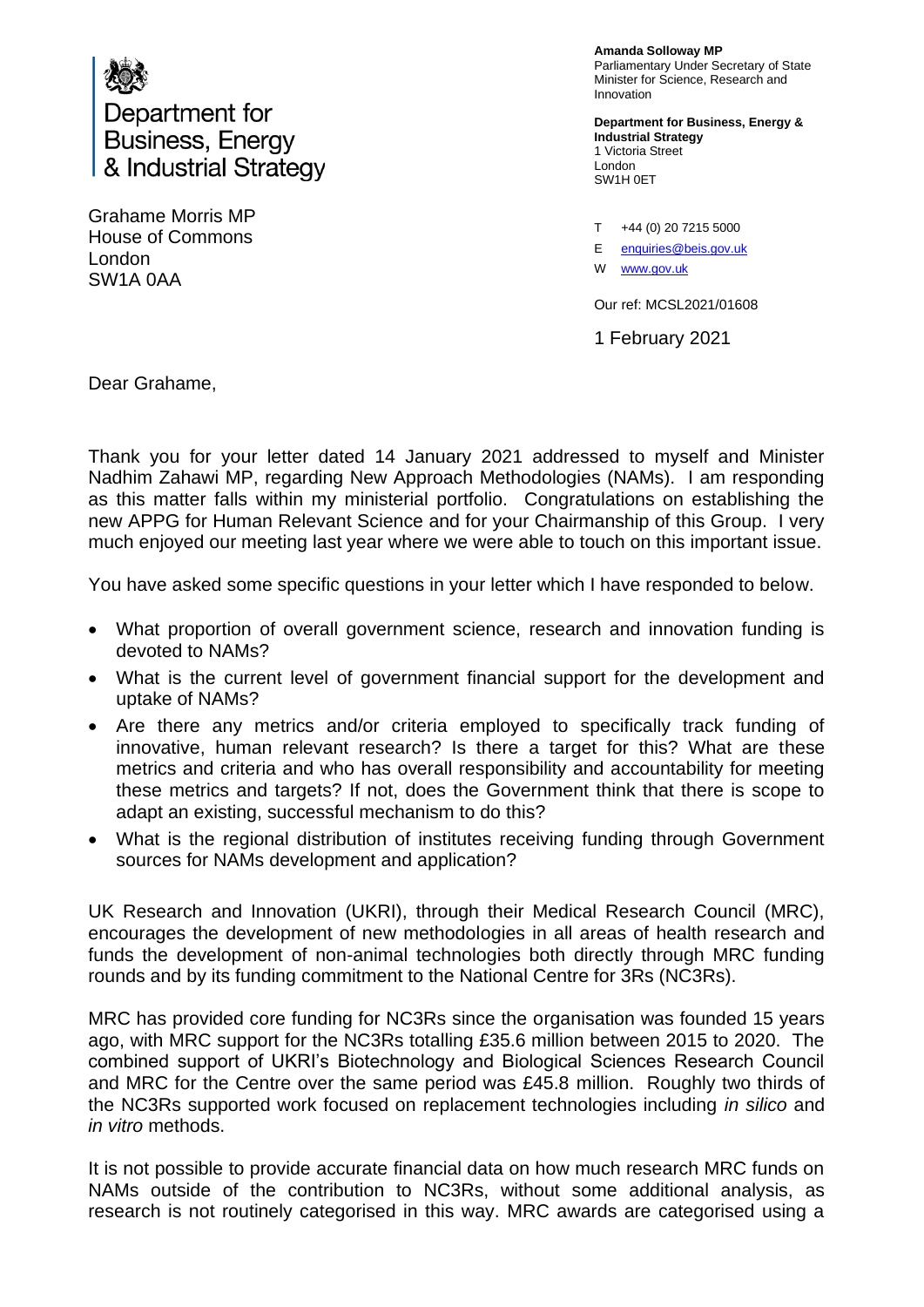

Grahame Morris MP House of Commons London SW1A 0AA

**Amanda Solloway MP** Parliamentary Under Secretary of State Minister for Science, Research and Innovation

**Department for Business, Energy & Industrial Strategy** 1 Victoria Street London SW1H 0ET

T +44 (0) 20 7215 5000

E enquiries@beis.gov.uk

W [www.gov.uk](http://www.gov.uk/)

Our ref: MCSL2021/01608

1 February 2021

Dear Grahame,

Thank you for your letter dated 14 January 2021 addressed to myself and Minister Nadhim Zahawi MP, regarding New Approach Methodologies (NAMs). I am responding as this matter falls within my ministerial portfolio. Congratulations on establishing the new APPG for Human Relevant Science and for your Chairmanship of this Group. I very much enjoyed our meeting last year where we were able to touch on this important issue.

You have asked some specific questions in your letter which I have responded to below.

- What proportion of overall government science, research and innovation funding is devoted to NAMs?
- What is the current level of government financial support for the development and uptake of NAMs?
- Are there any metrics and/or criteria employed to specifically track funding of innovative, human relevant research? Is there a target for this? What are these metrics and criteria and who has overall responsibility and accountability for meeting these metrics and targets? If not, does the Government think that there is scope to adapt an existing, successful mechanism to do this?
- What is the regional distribution of institutes receiving funding through Government sources for NAMs development and application?

UK Research and Innovation (UKRI), through their Medical Research Council (MRC), encourages the development of new methodologies in all areas of health research and funds the development of non-animal technologies both directly through MRC funding rounds and by its funding commitment to the National Centre for 3Rs (NC3Rs).

MRC has provided core funding for NC3Rs since the organisation was founded 15 years ago, with MRC support for the NC3Rs totalling £35.6 million between 2015 to 2020. The combined support of UKRI's Biotechnology and Biological Sciences Research Council and MRC for the Centre over the same period was £45.8 million. Roughly two thirds of the NC3Rs supported work focused on replacement technologies including *in silico* and *in vitro* methods.

It is not possible to provide accurate financial data on how much research MRC funds on NAMs outside of the contribution to NC3Rs, without some additional analysis, as research is not routinely categorised in this way. MRC awards are categorised using a